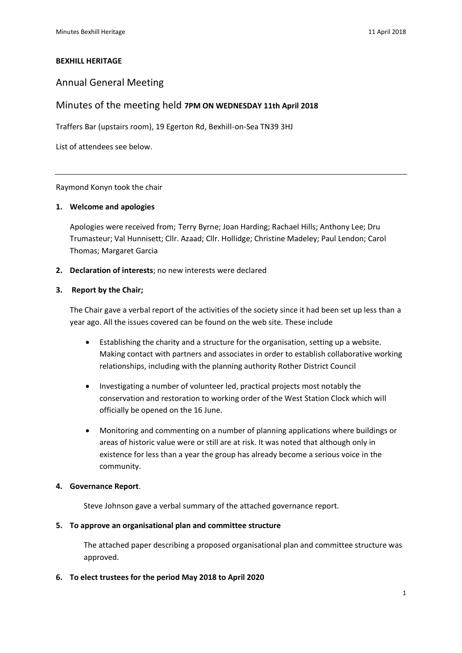#### **BEXHILL HERITAGE**

### Annual General Meeting

### Minutes of the meeting held **7PM ON WEDNESDAY 11th April 2018**

Traffers Bar (upstairs room), 19 Egerton Rd, Bexhill-on-Sea TN39 3HJ

List of attendees see below.

Raymond Konyn took the chair

### **1. Welcome and apologies**

Apologies were received from; Terry Byrne; Joan Harding; Rachael Hills; Anthony Lee; Dru Trumasteur; Val Hunnisett; Cllr. Azaad; Cllr. Hollidge; Christine Madeley; Paul Lendon; Carol Thomas; Margaret Garcia

**2. Declaration of interests**; no new interests were declared

#### **3. Report by the Chair;**

The Chair gave a verbal report of the activities of the society since it had been set up less than a year ago. All the issues covered can be found on the web site. These include

- Establishing the charity and a structure for the organisation, setting up a website. Making contact with partners and associates in order to establish collaborative working relationships, including with the planning authority Rother District Council
- Investigating a number of volunteer led, practical projects most notably the conservation and restoration to working order of the West Station Clock which will officially be opened on the 16 June.
- Monitoring and commenting on a number of planning applications where buildings or areas of historic value were or still are at risk. It was noted that although only in existence for less than a year the group has already become a serious voice in the community.

#### **4. Governance Report**.

Steve Johnson gave a verbal summary of the attached governance report.

#### **5. To approve an organisational plan and committee structure**

The attached paper describing a proposed organisational plan and committee structure was approved.

**6. To elect trustees for the period May 2018 to April 2020**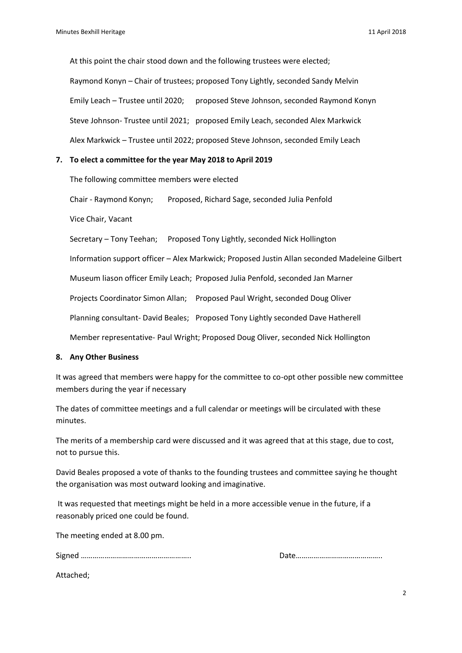At this point the chair stood down and the following trustees were elected; Raymond Konyn – Chair of trustees; proposed Tony Lightly, seconded Sandy Melvin Emily Leach – Trustee until 2020; proposed Steve Johnson, seconded Raymond Konyn Steve Johnson- Trustee until 2021; proposed Emily Leach, seconded Alex Markwick Alex Markwick – Trustee until 2022; proposed Steve Johnson, seconded Emily Leach

### **7. To elect a committee for the year May 2018 to April 2019**

The following committee members were elected

Chair - Raymond Konyn; Proposed, Richard Sage, seconded Julia Penfold

Vice Chair, Vacant

Secretary – Tony Teehan; Proposed Tony Lightly, seconded Nick Hollington

Information support officer – Alex Markwick; Proposed Justin Allan seconded Madeleine Gilbert

Museum liason officer Emily Leach; Proposed Julia Penfold, seconded Jan Marner

Projects Coordinator Simon Allan; Proposed Paul Wright, seconded Doug Oliver

Planning consultant- David Beales; Proposed Tony Lightly seconded Dave Hatherell

Member representative- Paul Wright; Proposed Doug Oliver, seconded Nick Hollington

#### **8. Any Other Business**

It was agreed that members were happy for the committee to co-opt other possible new committee members during the year if necessary

The dates of committee meetings and a full calendar or meetings will be circulated with these minutes.

The merits of a membership card were discussed and it was agreed that at this stage, due to cost, not to pursue this.

David Beales proposed a vote of thanks to the founding trustees and committee saying he thought the organisation was most outward looking and imaginative.

It was requested that meetings might be held in a more accessible venue in the future, if a reasonably priced one could be found.

The meeting ended at 8.00 pm.

Signed ……………………………………………….. Date……………………………………..

Attached;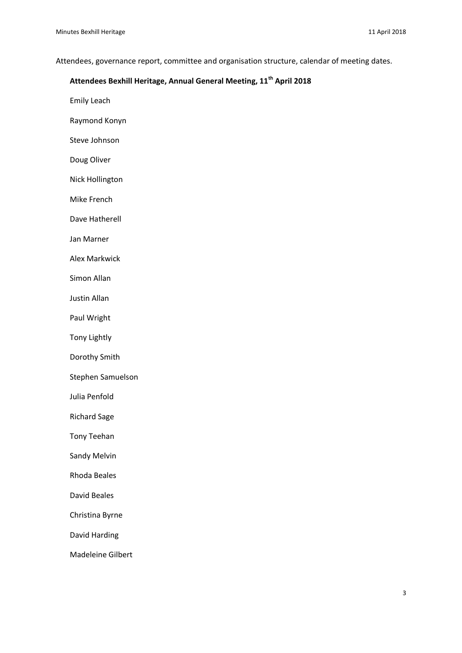Attendees, governance report, committee and organisation structure, calendar of meeting dates.

# **Attendees Bexhill Heritage, Annual General Meeting, 11th April 2018**

Emily Leach

Raymond Konyn

Steve Johnson

Doug Oliver

Nick Hollington

Mike French

Dave Hatherell

Jan Marner

Alex Markwick

Simon Allan

Justin Allan

Paul Wright

Tony Lightly

Dorothy Smith

Stephen Samuelson

Julia Penfold

Richard Sage

Tony Teehan

Sandy Melvin

Rhoda Beales

David Beales

Christina Byrne

David Harding

Madeleine Gilbert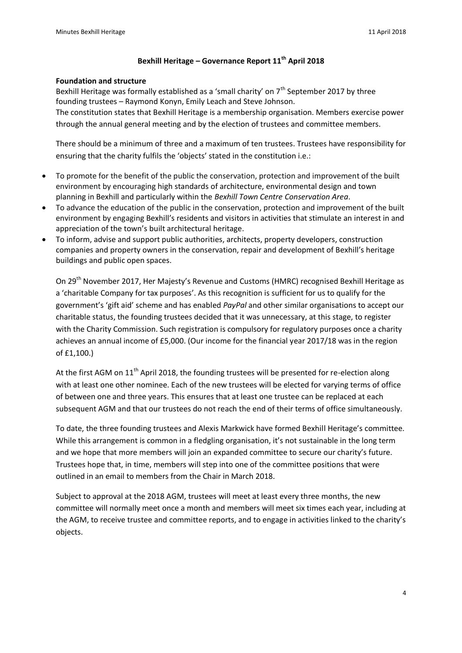## **Bexhill Heritage – Governance Report 11th April 2018**

### **Foundation and structure**

Bexhill Heritage was formally established as a 'small charity' on 7<sup>th</sup> September 2017 by three founding trustees – Raymond Konyn, Emily Leach and Steve Johnson.

The constitution states that Bexhill Heritage is a membership organisation. Members exercise power through the annual general meeting and by the election of trustees and committee members.

There should be a minimum of three and a maximum of ten trustees. Trustees have responsibility for ensuring that the charity fulfils the 'objects' stated in the constitution i.e.:

- To promote for the benefit of the public the conservation, protection and improvement of the built environment by encouraging high standards of architecture, environmental design and town planning in Bexhill and particularly within the *Bexhill Town Centre Conservation Area*.
- To advance the education of the public in the conservation, protection and improvement of the built environment by engaging Bexhill's residents and visitors in activities that stimulate an interest in and appreciation of the town's built architectural heritage.
- To inform, advise and support public authorities, architects, property developers, construction companies and property owners in the conservation, repair and development of Bexhill's heritage buildings and public open spaces.

On 29th November 2017, Her Majesty's Revenue and Customs (HMRC) recognised Bexhill Heritage as a 'charitable Company for tax purposes'. As this recognition is sufficient for us to qualify for the government's 'gift aid' scheme and has enabled *PayPal* and other similar organisations to accept our charitable status, the founding trustees decided that it was unnecessary, at this stage, to register with the Charity Commission. Such registration is compulsory for regulatory purposes once a charity achieves an annual income of £5,000. (Our income for the financial year 2017/18 was in the region of £1,100.)

At the first AGM on 11<sup>th</sup> April 2018, the founding trustees will be presented for re-election along with at least one other nominee. Each of the new trustees will be elected for varying terms of office of between one and three years. This ensures that at least one trustee can be replaced at each subsequent AGM and that our trustees do not reach the end of their terms of office simultaneously.

To date, the three founding trustees and Alexis Markwick have formed Bexhill Heritage's committee. While this arrangement is common in a fledgling organisation, it's not sustainable in the long term and we hope that more members will join an expanded committee to secure our charity's future. Trustees hope that, in time, members will step into one of the committee positions that were outlined in an email to members from the Chair in March 2018.

Subject to approval at the 2018 AGM, trustees will meet at least every three months, the new committee will normally meet once a month and members will meet six times each year, including at the AGM, to receive trustee and committee reports, and to engage in activities linked to the charity's objects.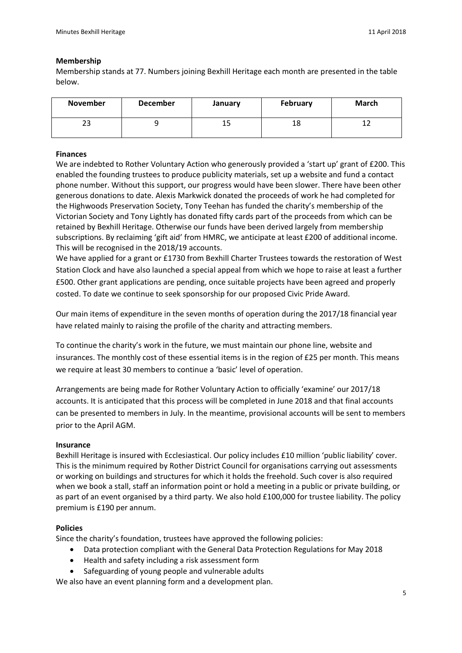### **Membership**

Membership stands at 77. Numbers joining Bexhill Heritage each month are presented in the table below.

| <b>November</b> | <b>December</b> | January | February | March |
|-----------------|-----------------|---------|----------|-------|
| າາ<br>دے        |                 | ᅩ       | 18       | ∸∸    |

### **Finances**

We are indebted to Rother Voluntary Action who generously provided a 'start up' grant of £200. This enabled the founding trustees to produce publicity materials, set up a website and fund a contact phone number. Without this support, our progress would have been slower. There have been other generous donations to date. Alexis Markwick donated the proceeds of work he had completed for the Highwoods Preservation Society, Tony Teehan has funded the charity's membership of the Victorian Society and Tony Lightly has donated fifty cards part of the proceeds from which can be retained by Bexhill Heritage. Otherwise our funds have been derived largely from membership subscriptions. By reclaiming 'gift aid' from HMRC, we anticipate at least £200 of additional income. This will be recognised in the 2018/19 accounts.

We have applied for a grant or £1730 from Bexhill Charter Trustees towards the restoration of West Station Clock and have also launched a special appeal from which we hope to raise at least a further £500. Other grant applications are pending, once suitable projects have been agreed and properly costed. To date we continue to seek sponsorship for our proposed Civic Pride Award.

Our main items of expenditure in the seven months of operation during the 2017/18 financial year have related mainly to raising the profile of the charity and attracting members.

To continue the charity's work in the future, we must maintain our phone line, website and insurances. The monthly cost of these essential items is in the region of £25 per month. This means we require at least 30 members to continue a 'basic' level of operation.

Arrangements are being made for Rother Voluntary Action to officially 'examine' our 2017/18 accounts. It is anticipated that this process will be completed in June 2018 and that final accounts can be presented to members in July. In the meantime, provisional accounts will be sent to members prior to the April AGM.

### **Insurance**

Bexhill Heritage is insured with Ecclesiastical. Our policy includes £10 million 'public liability' cover. This is the minimum required by Rother District Council for organisations carrying out assessments or working on buildings and structures for which it holds the freehold. Such cover is also required when we book a stall, staff an information point or hold a meeting in a public or private building, or as part of an event organised by a third party. We also hold £100,000 for trustee liability. The policy premium is £190 per annum.

### **Policies**

Since the charity's foundation, trustees have approved the following policies:

- Data protection compliant with the General Data Protection Regulations for May 2018
- Health and safety including a risk assessment form
- Safeguarding of young people and vulnerable adults

We also have an event planning form and a development plan.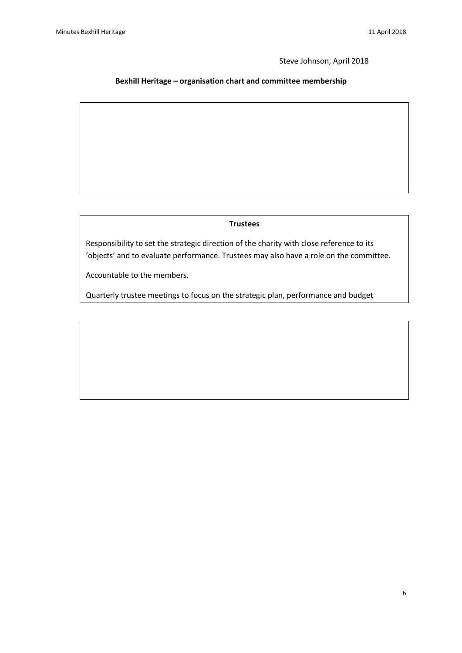issues.<br>In de la propincia de la propincia de la propincia de la propincia de la propincia de la propincia de la propi

Steve Johnson, April 2018

## **Bexhill Heritage – organisation chart and committee membership**

#### **Trustees**

Responsibility to set the strategic direction of the charity with close reference to its 'objects' and to evaluate performance. Trustees may also have a role on the committee.

Accountable to the members.

Quarterly trustee meetings to focus on the strategic plan, performance and budget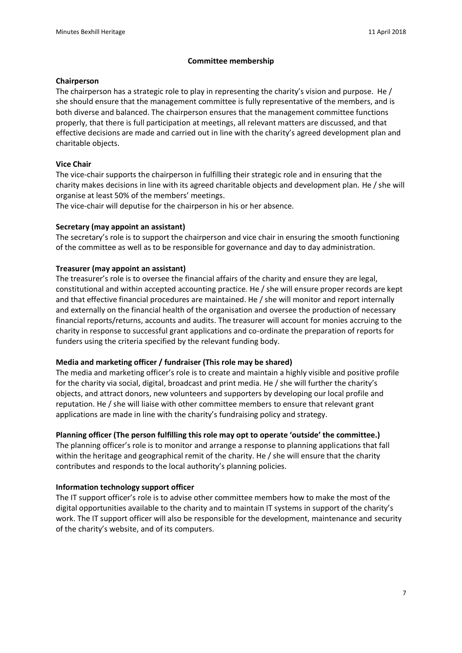## **Committee membership**

### **Chairperson**

The chairperson has a strategic role to play in representing the charity's vision and purpose. He / she should ensure that the management committee is fully representative of the members, and is both diverse and balanced. The chairperson ensures that the management committee functions properly, that there is full participation at meetings, all relevant matters are discussed, and that effective decisions are made and carried out in line with the charity's agreed development plan and charitable objects.

## **Vice Chair**

The vice-chair supports the chairperson in fulfilling their strategic role and in ensuring that the charity makes decisions in line with its agreed charitable objects and development plan. He / she will organise at least 50% of the members' meetings.

The vice-chair will deputise for the chairperson in his or her absence.

## **Secretary (may appoint an assistant)**

The secretary's role is to support the chairperson and vice chair in ensuring the smooth functioning of the committee as well as to be responsible for governance and day to day administration.

## **Treasurer (may appoint an assistant)**

The treasurer's role is to oversee the financial affairs of the charity and ensure they are legal, constitutional and within accepted accounting practice. He / she will ensure proper records are kept and that effective financial procedures are maintained. He / she will monitor and report internally and externally on the financial health of the organisation and oversee the production of necessary financial reports/returns, accounts and audits. The treasurer will account for monies accruing to the charity in response to successful grant applications and co-ordinate the preparation of reports for funders using the criteria specified by the relevant funding body.

### **Media and marketing officer / fundraiser (This role may be shared)**

The media and marketing officer's role is to create and maintain a highly visible and positive profile for the charity via social, digital, broadcast and print media. He / she will further the charity's objects, and attract donors, new volunteers and supporters by developing our local profile and reputation. He / she will liaise with other committee members to ensure that relevant grant applications are made in line with the charity's fundraising policy and strategy.

### **Planning officer (The person fulfilling this role may opt to operate 'outside' the committee.)**

The planning officer's role is to monitor and arrange a response to planning applications that fall within the heritage and geographical remit of the charity. He / she will ensure that the charity contributes and responds to the local authority's planning policies.

### **Information technology support officer**

The IT support officer's role is to advise other committee members how to make the most of the digital opportunities available to the charity and to maintain IT systems in support of the charity's work. The IT support officer will also be responsible for the development, maintenance and security of the charity's website, and of its computers.